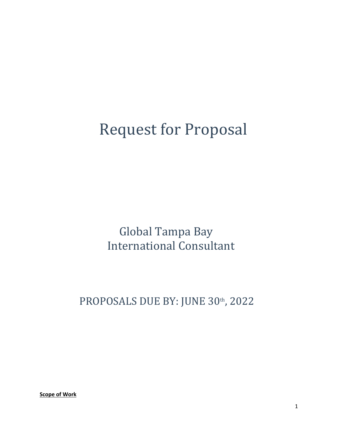# **Request for Proposal**

Global Tampa Bay **International Consultant** 

PROPOSALS DUE BY: JUNE 30th, 2022

**Scope of Work**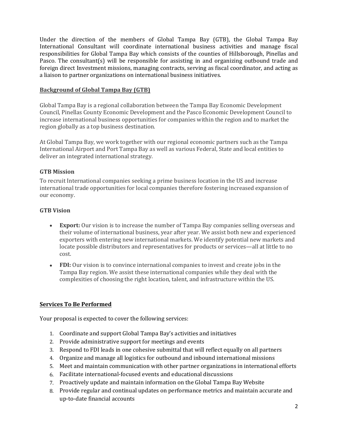Under the direction of the members of Global Tampa Bay (GTB), the Global Tampa Bay International Consultant will coordinate international business activities and manage fiscal responsibilities for Global Tampa Bay which consists of the counties of Hillsborough, Pinellas and Pasco. The consultant(s) will be responsible for assisting in and organizing outbound trade and foreign direct Investment missions, managing contracts, serving as fiscal coordinator, and acting as a liaison to partner organizations on international business initiatives.

# **Background of Global Tampa Bay (GTB)**

Global Tampa Bay is a regional collaboration between the Tampa Bay Economic Development Council, Pinellas County Economic Development and the Pasco Economic Development Council to increase international business opportunities for companies within the region and to market the region globally as a top business destination.

At Global Tampa Bay, we work together with our regional economic partners such as the Tampa International Airport and Port Tampa Bay as well as various Federal, State and local entities to deliver an integrated international strategy.

# **GTB Mission**

To recruit International companies seeking a prime business location in the US and increase international trade opportunities for local companies therefore fostering increased expansion of our economy.

# **GTB Vision**

- **Export:** Our vision is to increase the number of Tampa Bay companies selling overseas and their volume of international business, year after year. We assist both new and experienced exporters with entering new international markets. We identify potential new markets and locate possible distributors and representatives for products or services—all at little to no cost.
- **FDI:** Our vision is to convince international companies to invest and create jobs in the Tampa Bay region. We assist these international companies while they deal with the complexities of choosing the right location, talent, and infrastructure within the US.

## **Services To Be Performed**

Your proposal is expected to cover the following services:

- 1. Coordinate and support Global Tampa Bay's activities and initiatives
- 2. Provide administrative support for meetings and events
- 3. Respond to FDI leads in one cohesive submittal that will reflect equally on all partners
- 4. Organize and manage all logistics for outbound and inbound international missions
- 5. Meet and maintain communication with other partner organizations in international efforts
- 6. Facilitate international-focused events and educational discussions
- 7. Proactively update and maintain information on the Global Tampa Bay Website
- 8. Provide regular and continual updates on performance metrics and maintain accurate and up-to-date financial accounts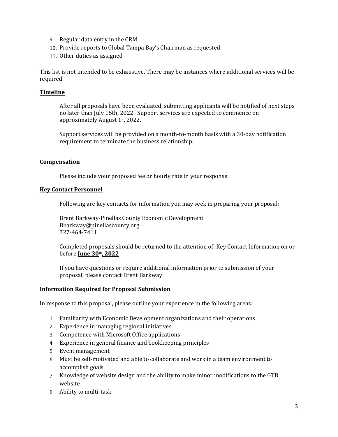- 9. Regular data entry in the CRM
- 10. Provide reports to Global Tampa Bay's Chairman as requested
- 11. Other duties as assigned

This list is not intended to be exhaustive. There may be instances where additional services will be required.

## **Timeline**

After all proposals have been evaluated, submitting applicants will be notified of next steps no later than July 15th, 2022. Support services are expected to commence on approximately August 1<sup>st</sup>, 2022.

Support services will be provided on a month-to-month basis with a 30-day notification requirement to terminate the business relationship.

## **Compensation**

Please include your proposed fee or hourly rate in your response.

## **Key Contact Personnel**

Following are key contacts for information you may seek in preparing your proposal:

Brent Barkway-Pinellas County Economic Development Bbarkway@pinellascounty.org 727-464-7411

Completed proposals should be returned to the attention of: Key Contact Information on or before **June 30th, 2022**

If you have questions or require additional information prior to submission of your proposal, please contact Brent Barkway.

## **Information Required for Proposal Submission**

In response to this proposal, please outline your experience in the following areas:

- 1. Familiarity with Economic Development organizations and their operations
- 2. Experience in managing regional initiatives
- 3. Competence with Microsoft Office applications
- 4. Experience in general finance and bookkeeping principles
- 5. Event management
- 6. Must be self-motivated and able to collaborate and work in a team environment to accomplish goals
- 7. Knowledge of website design and the ability to make minor modifications to the GTB website
- 8. Ability to multi-task